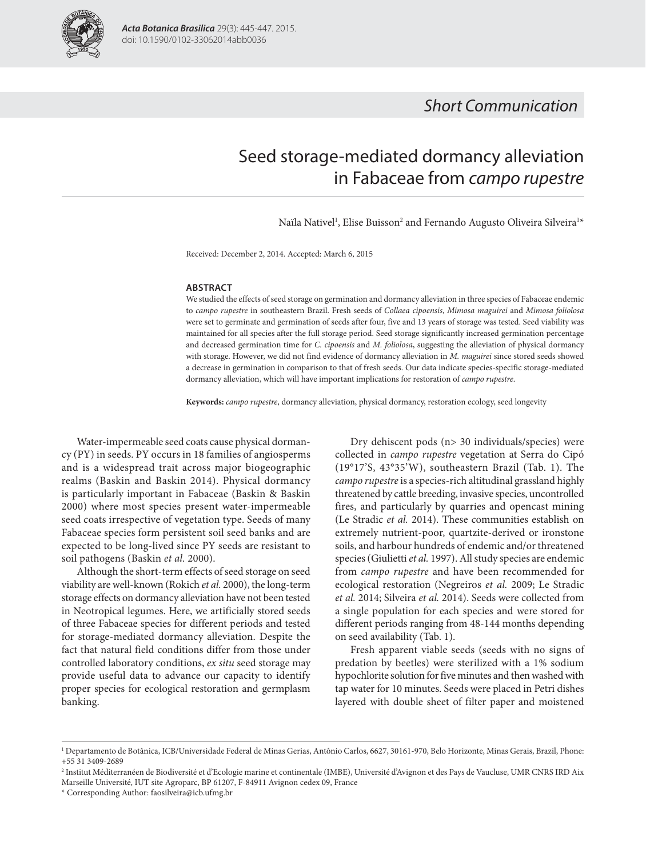

# Short Communication

# Seed storage-mediated dormancy alleviation in Fabaceae from campo rupestre

Naïla Nativel<sup>1</sup>, Elise Buisson<sup>2</sup> and Fernando Augusto Oliveira Silveira<sup>1\*</sup>

Received: December 2, 2014. Accepted: March 6, 2015

#### **ABSTRACT**

We studied the effects of seed storage on germination and dormancy alleviation in three species of Fabaceae endemic to campo rupestre in southeastern Brazil. Fresh seeds of Collaea cipoensis, Mimosa maguirei and Mimosa foliolosa were set to germinate and germination of seeds after four, five and 13 years of storage was tested. Seed viability was maintained for all species after the full storage period. Seed storage significantly increased germination percentage and decreased germination time for C. cipoensis and M. foliolosa, suggesting the alleviation of physical dormancy with storage. However, we did not find evidence of dormancy alleviation in M. maguirei since stored seeds showed a decrease in germination in comparison to that of fresh seeds. Our data indicate species-specific storage-mediated dormancy alleviation, which will have important implications for restoration of campo rupestre.

**Keywords:** campo rupestre, dormancy alleviation, physical dormancy, restoration ecology, seed longevity

Water-impermeable seed coats cause physical dormancy (PY) in seeds. PY occurs in 18 families of angiosperms and is a widespread trait across major biogeographic realms (Baskin and Baskin 2014). Physical dormancy is particularly important in Fabaceae (Baskin & Baskin 2000) where most species present water-impermeable seed coats irrespective of vegetation type. Seeds of many Fabaceae species form persistent soil seed banks and are expected to be long-lived since PY seeds are resistant to soil pathogens (Baskin et al. 2000).

Although the short-term effects of seed storage on seed viability are well-known (Rokich et al. 2000), the long-term storage effects on dormancy alleviation have not been tested in Neotropical legumes. Here, we artificially stored seeds of three Fabaceae species for different periods and tested for storage-mediated dormancy alleviation. Despite the fact that natural field conditions differ from those under controlled laboratory conditions, ex situ seed storage may provide useful data to advance our capacity to identify proper species for ecological restoration and germplasm banking.

Dry dehiscent pods (n> 30 individuals/species) were collected in campo rupestre vegetation at Serra do Cipó (19°17'S, 43°35'W), southeastern Brazil (Tab. 1). The campo rupestre is a species-rich altitudinal grassland highly threatened by cattle breeding, invasive species, uncontrolled fires, and particularly by quarries and opencast mining (Le Stradic et al. 2014). These communities establish on extremely nutrient-poor, quartzite-derived or ironstone soils, and harbour hundreds of endemic and/or threatened species (Giulietti et al. 1997). All study species are endemic from campo rupestre and have been recommended for ecological restoration (Negreiros et al. 2009; Le Stradic et al. 2014; Silveira et al. 2014). Seeds were collected from a single population for each species and were stored for different periods ranging from 48-144 months depending on seed availability (Tab. 1).

Fresh apparent viable seeds (seeds with no signs of predation by beetles) were sterilized with a 1% sodium hypochlorite solution for five minutes and then washed with tap water for 10 minutes. Seeds were placed in Petri dishes layered with double sheet of filter paper and moistened

\* Corresponding Author: faosilveira@icb.ufmg.br

<sup>1</sup> Departamento de Botânica, ICB/Universidade Federal de Minas Gerias, Antônio Carlos, 6627, 30161-970, Belo Horizonte, Minas Gerais, Brazil, Phone: +55 31 3409-2689

<sup>2</sup> Institut Méditerranéen de Biodiversité et d'Ecologie marine et continentale (IMBE), Université d'Avignon et des Pays de Vaucluse, UMR CNRS IRD Aix Marseille Université, IUT site Agroparc, BP 61207, F-84911 Avignon cedex 09, France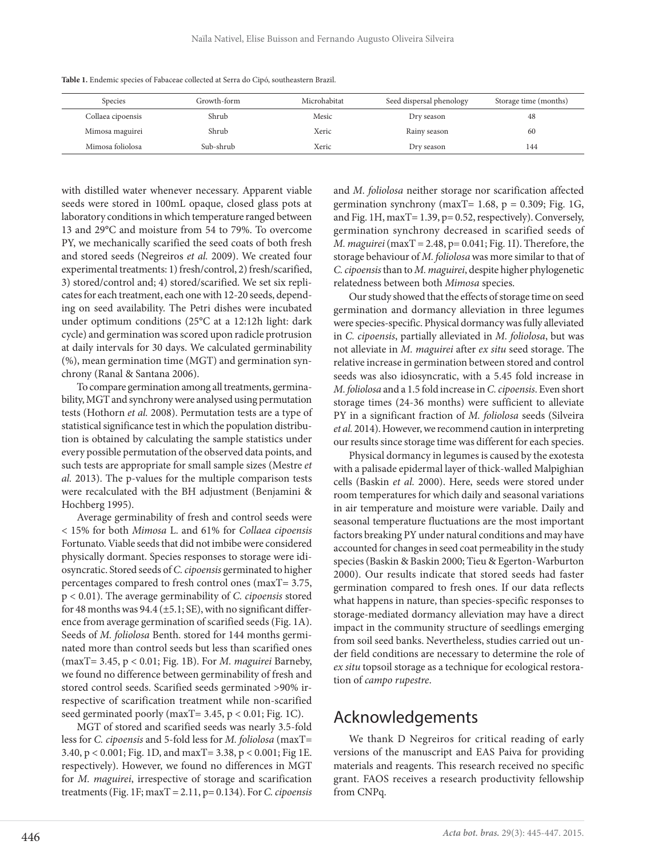|  | Table 1. Endemic species of Fabaceae collected at Serra do Cipó, southeastern Brazil. |  |
|--|---------------------------------------------------------------------------------------|--|
|--|---------------------------------------------------------------------------------------|--|

| Species           | Growth-form | Microhabitat | Seed dispersal phenology | Storage time (months) |
|-------------------|-------------|--------------|--------------------------|-----------------------|
| Collaea cipoensis | Shrub       | Mesic        | Dry season               | 48                    |
| Mimosa maguirei   | Shrub       | Xeric        | Rainy season             | 60                    |
| Mimosa foliolosa  | Sub-shrub   | Xeric        | Dry season               | 144                   |

with distilled water whenever necessary. Apparent viable seeds were stored in 100mL opaque, closed glass pots at laboratory conditions in which temperature ranged between 13 and 29°C and moisture from 54 to 79%. To overcome PY, we mechanically scarified the seed coats of both fresh and stored seeds (Negreiros et al. 2009). We created four experimental treatments: 1) fresh/control, 2) fresh/scarified, 3) stored/control and; 4) stored/scarified. We set six replicates for each treatment, each one with 12-20 seeds, depending on seed availability. The Petri dishes were incubated under optimum conditions (25°C at a 12:12h light: dark cycle) and germination was scored upon radicle protrusion at daily intervals for 30 days. We calculated germinability (%), mean germination time (MGT) and germination synchrony (Ranal & Santana 2006).

To compare germination among all treatments, germinability, MGT and synchrony were analysed using permutation tests (Hothorn et al. 2008). Permutation tests are a type of statistical significance test in which the population distribution is obtained by calculating the sample statistics under every possible permutation of the observed data points, and such tests are appropriate for small sample sizes (Mestre et al. 2013). The p-values for the multiple comparison tests were recalculated with the BH adjustment (Benjamini & Hochberg 1995).

Average germinability of fresh and control seeds were < 15% for both Mimosa L. and 61% for Collaea cipoensis Fortunato. Viable seeds that did not imbibe were considered physically dormant. Species responses to storage were idiosyncratic. Stored seeds of C. cipoensis germinated to higher percentages compared to fresh control ones (maxT= 3.75, p < 0.01). The average germinability of C. cipoensis stored for 48 months was 94.4 ( $\pm$ 5.1; SE), with no significant difference from average germination of scarified seeds (Fig. 1A). Seeds of M. foliolosa Benth. stored for 144 months germinated more than control seeds but less than scarified ones (maxT= 3.45, p < 0.01; Fig. 1B). For M. maguirei Barneby, we found no difference between germinability of fresh and stored control seeds. Scarified seeds germinated >90% irrespective of scarification treatment while non-scarified seed germinated poorly (maxT= 3.45, p < 0.01; Fig. 1C).

MGT of stored and scarified seeds was nearly 3.5-fold less for C. cipoensis and 5-fold less for M. foliolosa (maxT= 3.40, p < 0.001; Fig. 1D, and maxT= 3.38, p < 0.001; Fig 1E. respectively). However, we found no differences in MGT for M. maguirei, irrespective of storage and scarification treatments (Fig. 1F; max $T = 2.11$ , p= 0.134). For C. cipoensis and M. foliolosa neither storage nor scarification affected germination synchrony (maxT=  $1.68$ , p = 0.309; Fig. 1G, and Fig. 1H, maxT= 1.39, p= 0.52, respectively). Conversely, germination synchrony decreased in scarified seeds of M. maguirei ( $maxT = 2.48$ ,  $p = 0.041$ ; Fig. 1I). Therefore, the storage behaviour of M. foliolosa was more similar to that of C. cipoensis than to M. maguirei, despite higher phylogenetic relatedness between both Mimosa species.

Our study showed that the effects of storage time on seed germination and dormancy alleviation in three legumes were species-specific. Physical dormancy was fully alleviated in C. cipoensis, partially alleviated in M. foliolosa, but was not alleviate in M. maguirei after ex situ seed storage. The relative increase in germination between stored and control seeds was also idiosyncratic, with a 5.45 fold increase in M. foliolosa and a 1.5 fold increase in C. cipoensis. Even short storage times (24-36 months) were sufficient to alleviate PY in a significant fraction of M. foliolosa seeds (Silveira et al. 2014). However, we recommend caution in interpreting our results since storage time was different for each species.

Physical dormancy in legumes is caused by the exotesta with a palisade epidermal layer of thick-walled Malpighian cells (Baskin et al. 2000). Here, seeds were stored under room temperatures for which daily and seasonal variations in air temperature and moisture were variable. Daily and seasonal temperature fluctuations are the most important factors breaking PY under natural conditions and may have accounted for changes in seed coat permeability in the study species (Baskin & Baskin 2000; Tieu & Egerton-Warburton 2000). Our results indicate that stored seeds had faster germination compared to fresh ones. If our data reflects what happens in nature, than species-specific responses to storage-mediated dormancy alleviation may have a direct impact in the community structure of seedlings emerging from soil seed banks. Nevertheless, studies carried out under field conditions are necessary to determine the role of ex situ topsoil storage as a technique for ecological restoration of campo rupestre.

### Acknowledgements

We thank D Negreiros for critical reading of early versions of the manuscript and EAS Paiva for providing materials and reagents. This research received no specific grant. FAOS receives a research productivity fellowship from CNPq.